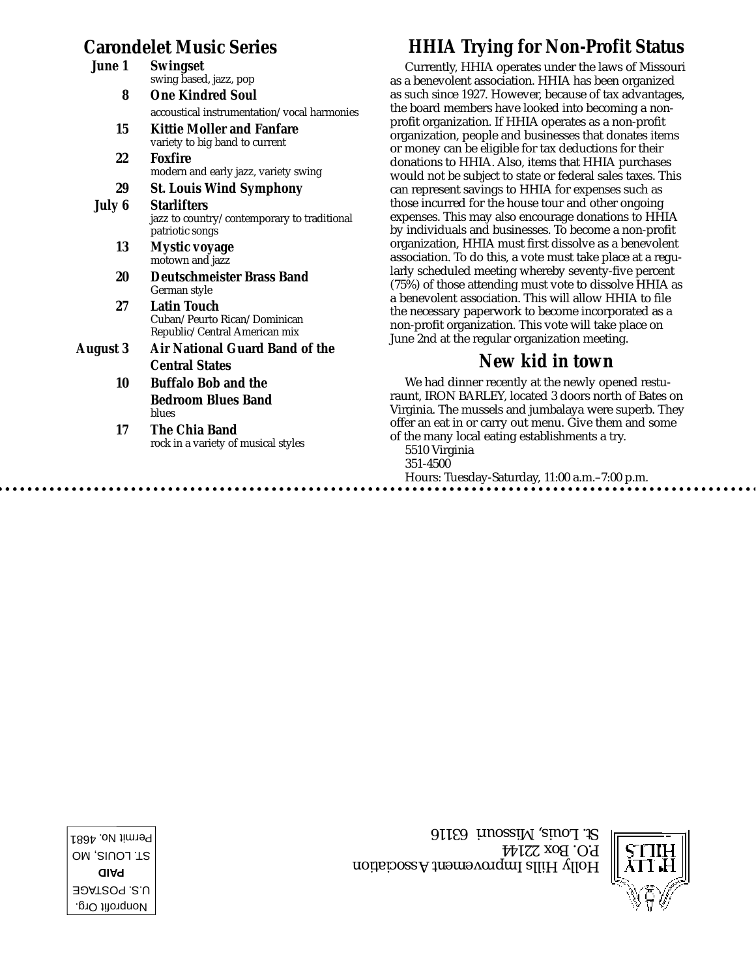## **Carondelet Music Series**

| June 1   | <b>Swingset</b><br>swing based, jazz, pop                                            |
|----------|--------------------------------------------------------------------------------------|
| 8        | <b>One Kindred Soul</b>                                                              |
|          | accoustical instrumentation/vocal harmonies                                          |
| 15       | <b>Kittie Moller and Fanfare</b><br>variety to big band to current                   |
| 22       | Foxfire<br>modern and early jazz, variety swing                                      |
| 29       | <b>St. Louis Wind Symphony</b>                                                       |
| July 6   | <b>Starlifters</b><br>jazz to country/contemporary to traditional<br>patriotic songs |
| 13       | <b>Mystic voyage</b><br>motown and jazz                                              |
| 20       | <b>Deutschmeister Brass Band</b><br>German style                                     |
| 27       | Latin Touch<br>Cuban/Peurto Rican/Dominican<br>Republic/Central American mix         |
| August 3 | <b>Air National Guard Band of the</b>                                                |
|          | <b>Central States</b>                                                                |
| 10       | <b>Buffalo Bob and the</b>                                                           |
|          | <b>Bedroom Blues Band</b><br>blues                                                   |
| 17       | The Chia Band<br>rock in a variety of musical styles                                 |

## **HHIA Trying for Non-Profit Status**

Currently, HHIA operates under the laws of Missouri as a benevolent association. HHIA has been organized as such since 1927. However, because of tax advantages, the board members have looked into becoming a nonprofit organization. If HHIA operates as a non-profit organization, people and businesses that donates items or money can be eligible for tax deductions for their donations to HHIA. Also, items that HHIA purchases would not be subject to state or federal sales taxes. This can represent savings to HHIA for expenses such as those incurred for the house tour and other ongoing expenses. This may also encourage donations to HHIA by individuals and businesses. To become a non-profit organization, HHIA must first dissolve as a benevolent association. To do this, a vote must take place at a regularly scheduled meeting whereby seventy-five percent (75%) of those attending must vote to dissolve HHIA as a benevolent association. This will allow HHIA to file the necessary paperwork to become incorporated as a non-profit organization. This vote will take place on June 2nd at the regular organization meeting.

### **New kid in town**

We had dinner recently at the newly opened resturaunt, IRON BARLEY, located 3 doors north of Bates on Virginia. The mussels and jumbalaya were superb. They offer an eat in or carry out menu. Give them and some of the many local eating establishments a try. 5510 Virginia 351-4500 Hours: Tuesday-Saturday, 11:00 a.m.–7:00 p.m.

Holly Hills Improvement Association P.O. Box 22144 St. Louis, Missouri 63116



Nonprofit Org. U.S. POSTAGE **PAID** ST. LOUIS, MO Permit No. 4681